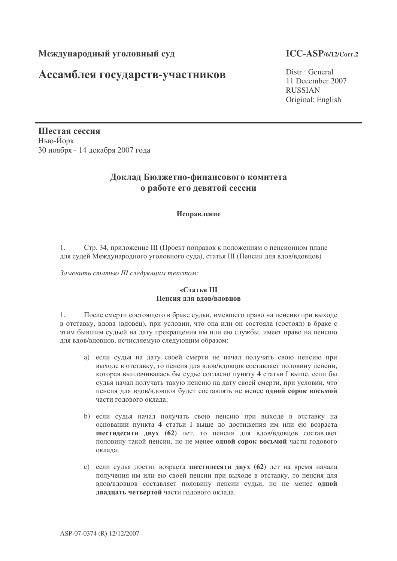# Ассамблея государств-участников

### $ICC-ASP/6/12/Corr.2$

Distr.: General 11 December 2007 **RUSSIAN** Original: English

Шестая сессия Нью-Йорк 30 ноября - 14 декабря 2007 года

## Доклад Бюджетно-финансового комитета о работе его девятой сессии

#### Исправление

Стр. 34, приложение III (Проект поправок к положениям о пенсионном плане 1. для судей Международного уголовного суда), статья III (Пенсии для вдов/вдовцов)

Заменить статью III следующим текстом:

#### «Стятья III Пенсия для вдов/вдовцов

После смерти состоящего в браке судьи, имевшего право на пенсию при выходе  $\mathbf{1}$ в отставку, вдова (вдовец), при условии, что она или он состояла (состоял) в браке с этим бывшим судьей на дату прекращения им или ею службы, имеет право на пенсию для вдов/вдовцов, исчисляемую следующим образом:

- а) если судья на дату своей смерти не начал получать свою пенсию при выходе в отставку, то пенсия для вдов/вдовцов составляет половину пенсии, которая выплачивалась бы судье согласно пункту 4 статьи I выше, если бы судья начал получать такую пенсию на дату своей смерти, при условии, что пенсия для вдов/вдовцов будет составлять не менее одной сорок восьмой части годового оклада;
- b) если судья начал получать свою пенсию при выходе в отставку на основании пункта 4 статьи I выше до достижения им или ею возраста шестидесяти двух (62) лет, то пенсия для вдов/вдовцов составляет половину такой пенсии, но не менее одной сорок восьмой части годового оклада:
- с) если судья достиг возраста шестидесяти двух (62) лет на время начала получения им или ею своей пенсии при выходе в отставку, то пенсия для вдов/вдовцов составляет половину пенсии судьи, но не менее одной двадцать четвертой части годового оклада.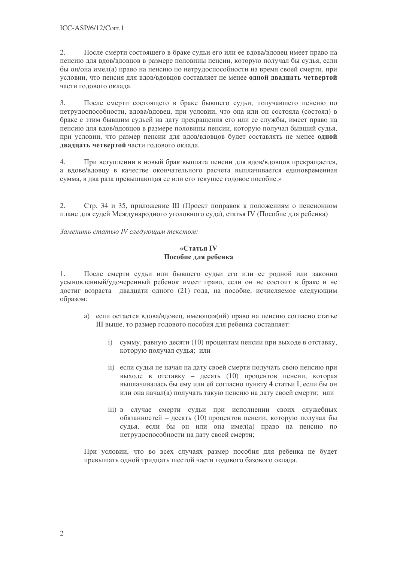$2.$ После смерти состоящего в браке судьи его или ее вдова/вдовец имеет право на пенсию для вдов/вдовцов в размере половины пенсии, которую получал бы судья, если бы он/она имел(а) право на пенсию по нетрудоспособности на время своей смерти, при условии, что пенсия для вдов/вдовцов составляет не менее одной двадцать четвертой части голового оклала.

 $\overline{3}$ . После смерти состоящего в браке бывшего судьи, получавшего пенсию по нетрудоспособности, вдова/вдовец, при условии, что она или он состояла (состоял) в браке с этим бывшим судьей на дату прекращения его или ее службы, имеет право на пенсию для вдов/вдовцов в размере половины пенсии, которую получал бывший судья, при условии, что размер пенсии для вдов/вдовцов будет составлять не менее одной двадцать четвертой части годового оклада.

 $\overline{4}$ . При вступлении в новый брак выплата пенсии для вдов/вдовцов прекращается, а вдове/вдовцу в качестве окончательного расчета выплачивается единовременная сумма, в два раза превышающая ее или его текущее годовое пособие.»

 $2.$ Стр. 34 и 35, приложение III (Проект поправок к положениям о пенсионном плане для судей Международного уголовного суда), статья IV (Пособие для ребенка)

Заменить статью IV следующим текстом:

#### «Статья IV Пособие для ребенка

После смерти судьи или бывшего судьи его или ее родной или законно  $1.$ усыновленный/удочеренный ребенок имеет право, если он не состоит в браке и не достиг возраста двадцати одного (21) года, на пособие, исчисляемое следующим образом:

- а) если остается вдова/вдовец, имеющая (ий) право на пенсию согласно статье III выше, то размер годового пособия для ребенка составляет:
	- і) сумму, равную десяти (10) процентам пенсии при выходе в отставку, которую получал судья; или
	- ii) если судья не начал на дату своей смерти получать свою пенсию при выходе в отставку - десять (10) процентов пенсии, которая выплачивалась бы ему или ей согласно пункту 4 статьи I, если бы он или она начал(а) получать такую пенсию на дату своей смерти; или
	- ііі) в случае смерти сульи при исполнении своих служебных обязанностей - десять (10) процентов пенсии, которую получал бы судья, если бы он или она имел(а) право на пенсию по нетрудоспособности на дату своей смерти;

При условии, что во всех случаях размер пособия для ребенка не будет превышать одной тридцать шестой части годового базового оклада.